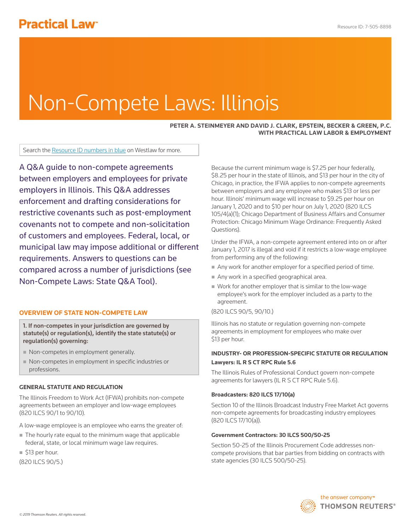# Non-Compete Laws: Illinois

## **PETER A. STEINMEYER AND DAVID J. CLARK, EPSTEIN, BECKER & GREEN, P.C. WITH PRACTICAL LAW LABOR & EMPLOYMENT**

Search the Resource ID numbers in blue on Westlaw for more.

A Q&A guide to non-compete agreements between employers and employees for private employers in Illinois. This Q&A addresses enforcement and drafting considerations for restrictive covenants such as post-employment covenants not to compete and non-solicitation of customers and employees. Federal, local, or municipal law may impose additional or different requirements. Answers to questions can be compared across a number of jurisdictions (see Non-Compete Laws: State Q&A Tool).

# **OVERVIEW OF STATE NON-COMPETE LAW**

1. If non-competes in your jurisdiction are governed by statute(s) or regulation(s), identify the state statute(s) or regulation(s) governing:

- Non-competes in employment generally.
- Non-competes in employment in specific industries or professions.

## **GENERAL STATUTE AND REGULATION**

The Illinois Freedom to Work Act (IFWA) prohibits non-compete agreements between an employer and low-wage employees (820 ILCS 90/1 to 90/10).

- A low-wage employee is an employee who earns the greater of:
- The hourly rate equal to the minimum wage that applicable federal, state, or local minimum wage law requires.

■ \$13 per hour.

(820 ILCS 90/5.)

Because the current minimum wage is \$7.25 per hour federally, \$8.25 per hour in the state of Illinois, and \$13 per hour in the city of Chicago, in practice, the IFWA applies to non-compete agreements between employers and any employee who makes \$13 or less per hour. Illinois' minimum wage will increase to \$9.25 per hour on January 1, 2020 and to \$10 per hour on July 1, 2020 (820 ILCS 105/4(a)(1); Chicago Department of Business Affairs and Consumer Protection: Chicago Minimum Wage Ordinance: Frequently Asked Questions).

Under the IFWA, a non-compete agreement entered into on or after January 1, 2017 is illegal and void if it restricts a low-wage employee from performing any of the following:

- Any work for another employer for a specified period of time.
- Any work in a specified geographical area.
- Work for another employer that is similar to the low-wage employee's work for the employer included as a party to the agreement.

# (820 ILCS 90/5, 90/10.)

Illinois has no statute or regulation governing non-compete agreements in employment for employees who make over \$13 per hour.

# **INDUSTRY- OR PROFESSION-SPECIFIC STATUTE OR REGULATION Lawyers: IL R S CT RPC Rule 5.6**

The Illinois Rules of Professional Conduct govern non-compete agreements for lawyers (IL R S CT RPC Rule 5.6).

## **Broadcasters: 820 ILCS 17/10(a)**

Section 10 of the Illinois Broadcast Industry Free Market Act governs non-compete agreements for broadcasting industry employees (820 ILCS 17/10(a)).

#### **Government Contractors: 30 ILCS 500/50-25**

Section 50-25 of the Illinois Procurement Code addresses noncompete provisions that bar parties from bidding on contracts with state agencies (30 ILCS 500/50-25).

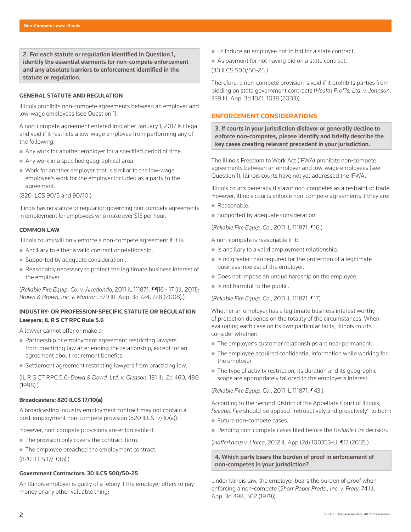2. For each statute or regulation identified in Question 1, identify the essential elements for non-compete enforcement and any absolute barriers to enforcement identified in the statute or regulation.

#### **GENERAL STATUTE AND REGULATION**

Illinois prohibits non-compete agreements between an employer and low-wage employees (see Question 1).

A non-compete agreement entered into after January 1, 2017 is illegal and void if it restricts a low-wage employee from performing any of the following:

- Any work for another employer for a specified period of time.
- Any work in a specified geographical area.
- Work for another employer that is similar to the low-wage employee's work for the employer included as a party to the agreement.

(820 ILCS 90/5 and 90/10.)

Illinois has no statute or regulation governing non-compete agreements in employment for employees who make over \$13 per hour.

#### **COMMON LAW**

Illinois courts will only enforce a non-compete agreement if it is:

- Ancillary to either a valid contract or relationship.
- **Supported by adequate consideration.**
- Reasonably necessary to protect the legitimate business interest of the employer.

(*Reliable Fire Equip. Co. v. Arredondo*, 2011 IL 111871, ¶¶16 - 17 (Ill. 2011); *Brown & Brown, Inc. v. Mudron*, 379 Ill. App. 3d 724, 728 (2008).)

# **INDUSTRY- OR PROFESSION-SPECIFIC STATUTE OR REGULATION Lawyers: IL R S CT RPC Rule 5.6**

A lawyer cannot offer or make a:

- Partnership or employment agreement restricting lawyers from practicing law after ending the relationship, except for an agreement about retirement benefits.
- Settlement agreement restricting lawyers from practicing law.

(IL R S CT RPC 5.6; *Dowd & Dowd, Ltd. v. Gleason*, 181 Ill. 2d 460, 480 (1998).)

## **Broadcasters: 820 ILCS 17/10(a)**

A broadcasting industry employment contract may not contain a post-employment non-compete provision (820 ILCS 17/10(a)).

However, non-compete provisions are enforceable if:

- The provision only covers the contract term.
- The employee breached the employment contract.

(820 ILCS 17/10(b).)

#### **Government Contractors: 30 ILCS 500/50-25**

An Illinois employer is guilty of a felony if the employer offers to pay money or any other valuable thing:

- To induce an employee not to bid for a state contract.
- As payment for not having bid on a state contract.

(30 ILCS 500/50-25.)

Therefore, a non-compete provision is void if it prohibits parties from bidding on state government contracts (*Health Prof'ls, Ltd. v. Johnson*, 339 Ill. App. 3d 1021, 1038 (2003)).

# **ENFORCEMENT CONSIDERATIONS**

3. If courts in your jurisdiction disfavor or generally decline to enforce non-competes, please identify and briefly describe the key cases creating relevant precedent in your jurisdiction.

The Illinois Freedom to Work Act (IFWA) prohibits non-compete agreements between an employer and low-wage employees (see Question 1). Illinois courts have not yet addressed the IFWA.

Illinois courts generally disfavor non-competes as a restraint of trade. However, Illinois courts enforce non-compete agreements if they are:

- Reasonable.
- Supported by adequate consideration.

(*Reliable Fire Equip. Co.*, 2011 IL 111871, ¶16.)

A non-compete is reasonable if it:

- $\blacksquare$  Is ancillary to a valid employment relationship.
- $\blacksquare$  Is no greater than required for the protection of a legitimate business interest of the employer.
- Does not impose an undue hardship on the employee.
- $\blacksquare$  Is not harmful to the public.

(*Reliable Fire Equip. Co.*, 2011 IL 111871, ¶17)

Whether an employer has a legitimate business interest worthy of protection depends on the totality of the circumstances. When evaluating each case on its own particular facts, Illinois courts consider whether:

- The employer's customer relationships are near permanent.
- The employee acquired confidential information while working for the employer.
- The type of activity restriction, its duration and its geographic scope are appropriately tailored to the employer's interest.

(*Reliable Fire Equip. Co.*, 2011 IL 111871, ¶43.)

According to the Second District of the Appellate Court of Illinois, *Reliable Fire* should be applied "retroactively and proactively" to both:

- Future non-compete cases.
- Pending non-compete cases filed before the *Reliable Fire* decision.

(*Hafferkamp v. Llorca*, 2012 IL App (2d) 100353-U, ¶17 (2012).)

4. Which party bears the burden of proof in enforcement of non-competes in your jurisdiction?

Under Illinois law, the employer bears the burden of proof when enforcing a non-compete (*Shorr Paper Prods., Inc. v. Frary*, 74 Ill. App. 3d 498, 502 (1979)).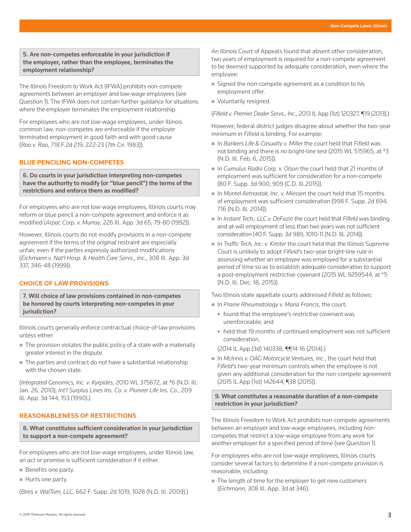## 5. Are non-competes enforceable in your jurisdiction if the employer, rather than the employee, terminates the employment relationship?

The Illinois Freedom to Work Act (IFWA) prohibits non-compete agreements between an employer and low-wage employees (see Question 1). The IFWA does not contain further guidance for situations where the employer terminates the employment relationship.

For employees who are not low-wage employees, under Illinois common law, non-competes are enforceable if the employer terminated employment in good faith and with good cause (*Rao v. Rao*, 718 F.2d 219, 222-23 (7th Cir. 1983)).

# **BLUE PENCILING NON-COMPETES**

6. Do courts in your jurisdiction interpreting non-competes have the authority to modify (or "blue pencil") the terms of the restrictions and enforce them as modified?

For employees who are not low-wage employees, Illinois courts may reform or blue pencil a non-compete agreement and enforce it as modified (*Arpac Corp. v. Murray*, 226 Ill. App. 3d 65, 79-80 (1992)).

However, Illinois courts do not modify provisions in a non-compete agreement if the terms of the original restraint are especially unfair, even if the parties expressly authorized modifications (*Eichmann v. Nat'l Hosp. & Health Care Servs., Inc.*, 308 Ill. App. 3d 337, 346-48 (1999)).

# **CHOICE OF LAW PROVISIONS**

7. Will choice of law provisions contained in non-competes be honored by courts interpreting non-competes in your jurisdiction?

Illinois courts generally enforce contractual choice-of-law provisions unless either:

- $\blacksquare$  The provision violates the public policy of a state with a materially greater interest in the dispute.
- The parties and contract do not have a substantial relationship with the chosen state.

(*Integrated Genomics, Inc. v. Kyrpides*, 2010 WL 375672, at \*6 (N.D. Ill. Jan. 26, 2010); *Int'l Surplus Lines Ins. Co. v. Pioneer Life Ins. Co.*, 209 Ill. App. 3d 144, 153 (1990).)

# **REASONABLENESS OF RESTRICTIONS**

8. What constitutes sufficient consideration in your jurisdiction to support a non-compete agreement?

For employees who are not low-wage employees, under Illinois law, an act or promise is sufficient consideration if it either:

- Benefits one party.
- Hurts one party.

(*Bires v. WalTom, LLC*, 662 F. Supp. 2d 1019, 1028 (N.D. Ill. 2009).)

An Illinois Court of Appeals found that absent other consideration, two years of employment is required for a non-compete agreement to be deemed supported by adequate consideration, even where the employee:

- Signed the non-compete agreement as a condition to his employment offer.
- Voluntarily resigned.

(*Fifield v. Premier Dealer Servs., Inc.*, 2013 IL App (1st) 120327, ¶19 (2013).)

However, federal district judges disagree about whether the two-year minimum in *Fifield* is binding. For example:

- In *Bankers Life & Casualty v. Miller* the court held that *Fifield* was not binding and there is no bright-line test (2015 WL 515965, at \*3 (N.D. Ill. Feb. 6, 2015)).
- In *Cumulus Radio Corp. v. Olson* the court held that 21 months of employment was sufficient for consideration for a non-compete (80 F. Supp. 3d 900, 909 (C.D. Ill.2015)).
- In *Montel Aetnastak, Inc. v. Miessen* the court held that 15 months of employment was sufficient consideration (998 F. Supp. 2d 694, 716 (N.D. Ill. 2014)).
- In *Instant Tech., LLC v. DeFazio* the court held that *Fifield* was binding and at-will employment of less than two years was not sufficient consideration (40 F. Supp. 3d 989, 1010-11 (N.D. Ill. 2014)).
- In *Traffic Tech, Inc. v. Kreiter* the court held that the Illinois Supreme Court is unlikely to adopt *Fifield*'s two-year bright-line rule in assessing whether an employee was employed for a substantial period of time so as to establish adequate consideration to support a post-employment restrictive covenant (2015 WL 9259544, at \*5 (N.D. Ill. Dec. 18, 2015)).

Two Illinois state appellate courts addressed *Fifield* as follows:

- In *Prairie Rheumatology v. Maria Francis*, the court:
	- found that the employee's restrictive covenant was unenforceable; and
	- held that 19 months of continued employment was not sufficient consideration.

(2014 IL App (3d) 140338, ¶¶14-16 (2014).)

 In *McInnis v. OAG Motorcycle Ventures, Inc.*, the court held that *Fifield*'s two-year minimum controls when the employee is not given any additional consideration for the non-compete agreement (2015 IL App (1st) 142644, ¶38 (2015)).

9. What constitutes a reasonable duration of a non-compete restriction in your jurisdiction?

The Illinois Freedom to Work Act prohibits non-compete agreements between an employer and low-wage employees, including noncompetes that restrict a low-wage employee from any work for another employer for a specified period of time (see Question 1).

For employees who are not low-wage employees, Illinois courts consider several factors to determine if a non-compete provision is reasonable, including:

The length of time for the employer to get new customers (*Eichmann*, 308 Ill. App. 3d at 346).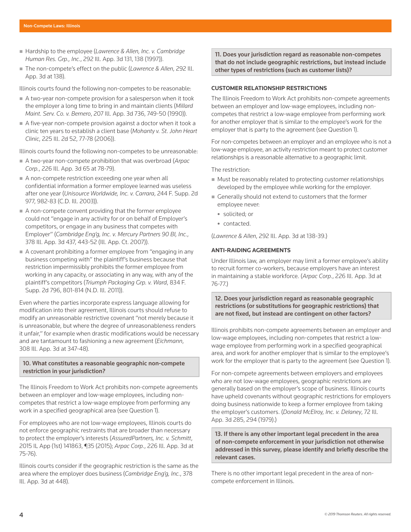- Hardship to the employee (*Lawrence & Allen, Inc. v. Cambridge Human Res. Grp., Inc.*, 292 Ill. App. 3d 131, 138 (1997)).
- The non-compete's effect on the public (*Lawrence & Allen*, 292 Ill. App. 3d at 138).

Illinois courts found the following non-competes to be reasonable:

- A two-year non-compete provision for a salesperson when it took the employer a long time to bring in and maintain clients (*Millard Maint. Serv. Co. v. Bernero*, 207 Ill. App. 3d 736, 749-50 (1990)).
- A five-year non-compete provision against a doctor when it took a clinic ten years to establish a client base (*Mohanty v. St. John Heart Clinic*, 225 Ill. 2d 52, 77-78 (2006)).

Illinois courts found the following non-competes to be unreasonable:

- A two-year non-compete prohibition that was overbroad (*Arpac Corp.*, 226 Ill. App. 3d 65 at 78-79).
- A non-compete restriction exceeding one year when all confidential information a former employee learned was useless after one year (*Unisource Worldwide, Inc. v. Carrara*, 244 F. Supp. 2d 977, 982-83 (C.D. Ill. 2003)).
- A non-compete convent providing that the former employee could not "engage in any activity for or on behalf of Employer's competitors, or engage in any business that competes with Employer" (*Cambridge Eng'g, Inc. v. Mercury Partners 90 BI, Inc.*, 378 Ill. App. 3d 437, 443-52 (Ill. App. Ct. 2007)).
- A covenant prohibiting a former employee from "engaging in any business competing with" the plaintiff's business because that restriction impermissibly prohibits the former employee from working in any capacity, or associating in any way, with any of the plaintiff's competitors (*Triumph Packaging Grp. v. Ward*, 834 F. Supp. 2d 796, 801-814 (N.D. Ill. 2011)).

Even where the parties incorporate express language allowing for modification into their agreement, Illinois courts should refuse to modify an unreasonable restrictive covenant "not merely because it is unreasonable, but where the degree of unreasonableness renders it unfair," for example when drastic modifications would be necessary and are tantamount to fashioning a new agreement (*Eichmann*, 308 Ill. App. 3d at 347-48).

## 10. What constitutes a reasonable geographic non-compete restriction in your jurisdiction?

The Illinois Freedom to Work Act prohibits non-compete agreements between an employer and low-wage employees, including noncompetes that restrict a low-wage employee from performing any work in a specified geographical area (see Question 1).

For employees who are not low-wage employees, Illinois courts do not enforce geographic restraints that are broader than necessary to protect the employer's interests (*AssuredPartners, Inc. v. Schmitt*, 2015 IL App (1st) 141863, ¶35 (2015); *Arpac Corp.*, 226 Ill. App. 3d at 75-76).

Illinois courts consider if the geographic restriction is the same as the area where the employer does business (*Cambridge Eng'g, Inc.*, 378 Ill. App. 3d at 448).

11. Does your jurisdiction regard as reasonable non-competes that do not include geographic restrictions, but instead include other types of restrictions (such as customer lists)?

### **CUSTOMER RELATIONSHIP RESTRICTIONS**

The Illinois Freedom to Work Act prohibits non-compete agreements between an employer and low-wage employees, including noncompetes that restrict a low-wage employee from performing work for another employer that is similar to the employee's work for the employer that is party to the agreement (see Question 1).

For non-competes between an employer and an employee who is not a low-wage employee, an activity restriction meant to protect customer relationships is a reasonable alternative to a geographic limit.

The restriction:

- Must be reasonably related to protecting customer relationships developed by the employee while working for the employer.
- Generally should not extend to customers that the former employee never:
	- solicited; or
	- contacted.

(*Lawrence & Allen*, 292 Ill. App. 3d at 138-39.)

#### **ANTI-RAIDING AGREEMENTS**

Under Illinois law, an employer may limit a former employee's ability to recruit former co-workers, because employers have an interest in maintaining a stable workforce. (*Arpac Corp.*, 226 Ill. App. 3d at 76-77.)

12. Does your jurisdiction regard as reasonable geographic restrictions (or substitutions for geographic restrictions) that are not fixed, but instead are contingent on other factors?

Illinois prohibits non-compete agreements between an employer and low-wage employees, including non-competes that restrict a lowwage employee from performing work in a specified geographical area, and work for another employer that is similar to the employee's work for the employer that is party to the agreement (see Question 1).

For non-compete agreements between employers and employees who are not low-wage employees, geographic restrictions are generally based on the employer's scope of business. Illinois courts have upheld covenants without geographic restrictions for employers doing business nationwide to keep a former employee from taking the employer's customers. (*Donald McElroy, Inc. v. Delaney*, 72 Ill. App. 3d 285, 294 (1979).)

13. If there is any other important legal precedent in the area of non-compete enforcement in your jurisdiction not otherwise addressed in this survey, please identify and briefly describe the relevant cases.

There is no other important legal precedent in the area of noncompete enforcement in Illinois.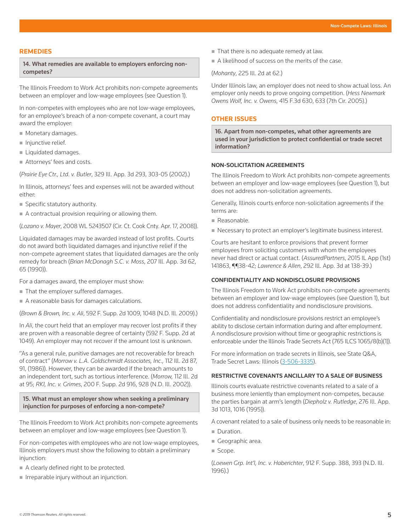## **REMEDIES**

14. What remedies are available to employers enforcing noncompetes?

The Illinois Freedom to Work Act prohibits non-compete agreements between an employer and low-wage employees (see Question 1).

In non-competes with employees who are not low-wage employees, for an employee's breach of a non-compete covenant, a court may award the employer:

- **Monetary damages.**
- $\blacksquare$  Injunctive relief.
- **Liquidated damages.**
- Attorneys' fees and costs.

(*Prairie Eye Ctr., Ltd. v. Butler*, 329 Ill. App. 3d 293, 303-05 (2002).)

In Illinois, attorneys' fees and expenses will not be awarded without either:

**Specific statutory authority.** 

A contractual provision requiring or allowing them.

(*Lozano v. Mayer*, 2008 WL 5243507 (Cir. Ct. Cook Cnty. Apr. 17, 2008)).

Liquidated damages may be awarded instead of lost profits. Courts do not award both liquidated damages and injunctive relief if the non-compete agreement states that liquidated damages are the only remedy for breach (*Brian McDonagh S.C. v. Moss*, 207 Ill. App. 3d 62, 65 (1990)).

For a damages award, the employer must show:

- That the employer suffered damages.
- A reasonable basis for damages calculations.

(*Brown & Brown, Inc. v. Ali*, 592 F. Supp. 2d 1009, 1048 (N.D. Ill. 2009).)

In *Ali*, the court held that an employer may recover lost profits if they are proven with a reasonable degree of certainty (592 F. Supp. 2d at 1049). An employer may not recover if the amount lost is unknown.

"As a general rule, punitive damages are not recoverable for breach of contract" (*Morrow v. L.A. Goldschmidt Associates, Inc.,* 112 Ill. 2d 87, 91, (1986)). However, they can be awarded if the breach amounts to an independent tort, such as tortious interference. (*Morrow,* 112 Ill. 2d at 95; *RKI, Inc. v. Grimes*, 200 F. Supp. 2d 916, 928 (N.D. Ill. 2002)).

15. What must an employer show when seeking a preliminary injunction for purposes of enforcing a non-compete?

The Illinois Freedom to Work Act prohibits non-compete agreements between an employer and low-wage employees (see Question 1).

For non-competes with employees who are not low-wage employees, Illinois employers must show the following to obtain a preliminary injunction:

- A clearly defined right to be protected.
- $\blacksquare$  Irreparable injury without an injunction.
- That there is no adequate remedy at law.
- A likelihood of success on the merits of the case.

(*Mohanty*, 225 Ill. 2d at 62.)

Under Illinois law, an employer does not need to show actual loss. An employer only needs to prove ongoing competition. (*Hess Newmark Owens Wolf, Inc. v. Owens*, 415 F.3d 630, 633 (7th Cir. 2005).)

#### **OTHER ISSUES**

16. Apart from non-competes, what other agreements are used in your jurisdiction to protect confidential or trade secret information?

#### **NON-SOLICITATION AGREEMENTS**

The Illinois Freedom to Work Act prohibits non-compete agreements between an employer and low-wage employees (see Question 1), but does not address non-solicitation agreements.

Generally, Illinois courts enforce non-solicitation agreements if the terms are:

- Reasonable.
- Necessary to protect an employer's legitimate business interest.

Courts are hesitant to enforce provisions that prevent former employees from soliciting customers with whom the employees never had direct or actual contact. (*AssuredPartners*, 2015 IL App (1st) 141863, ¶¶38-42; *Lawrence & Allen*, 292 Ill. App. 3d at 138-39.)

#### **CONFIDENTIALITY AND NONDISCLOSURE PROVISIONS**

The Illinois Freedom to Work Act prohibits non-compete agreements between an employer and low-wage employees (see Question 1), but does not address confidentiality and nondisclosure provisions.

Confidentiality and nondisclosure provisions restrict an employee's ability to disclose certain information during and after employment. A nondisclosure provision without time or geographic restrictions is enforceable under the Illinois Trade Secrets Act (765 ILCS 1065/8(b)(1)).

For more information on trade secrets in Illinois, see State Q&A, Trade Secret Laws: Illinois (3-506-3335).

## **RESTRICTIVE COVENANTS ANCILLARY TO A SALE OF BUSINESS**

Illinois courts evaluate restrictive covenants related to a sale of a business more leniently than employment non-competes, because the parties bargain at arm's length (*Diepholz v. Rutledge*, 276 Ill. App. 3d 1013, 1016 (1995)).

A covenant related to a sale of business only needs to be reasonable in:

- Duration.
- Geographic area.
- Scope.

(*Loewen Grp. Int'l, Inc. v. Haberichter*, 912 F. Supp. 388, 393 (N.D. Ill. 1996).)